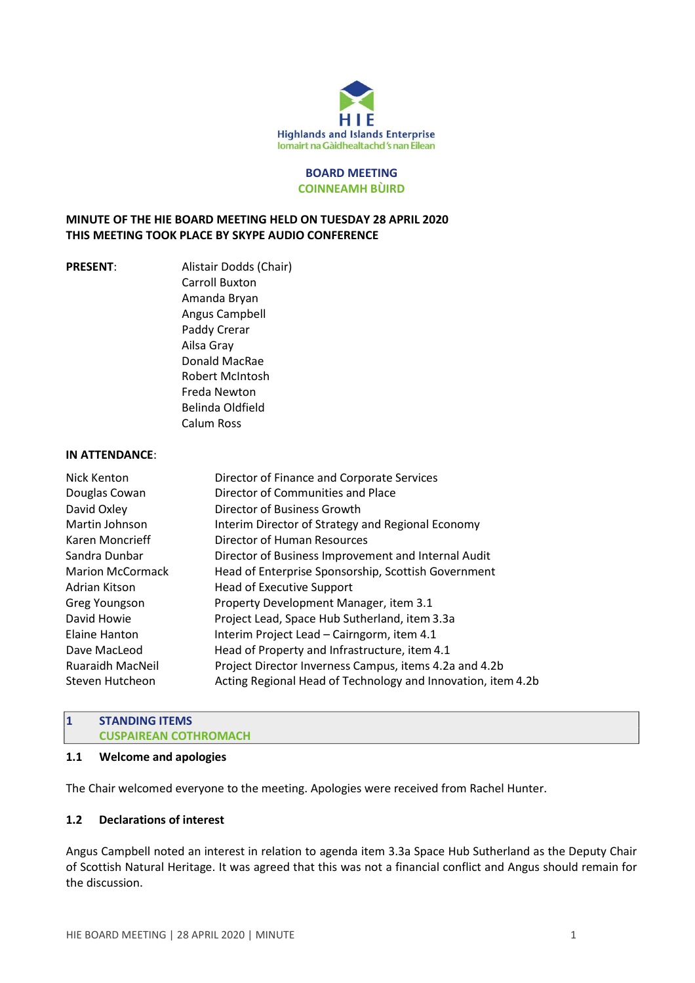

#### **BOARD MEETING COINNEAMH BÙIRD**

## **MINUTE OF THE HIE BOARD MEETING HELD ON TUESDAY 28 APRIL 2020 THIS MEETING TOOK PLACE BY SKYPE AUDIO CONFERENCE**

**PRESENT**: Alistair Dodds (Chair) Carroll Buxton Amanda Bryan Angus Campbell Paddy Crerar Ailsa Gray Donald MacRae Robert McIntosh Freda Newton Belinda Oldfield Calum Ross

#### **IN ATTENDANCE**:

| Nick Kenton             | Director of Finance and Corporate Services                   |
|-------------------------|--------------------------------------------------------------|
| Douglas Cowan           | Director of Communities and Place                            |
| David Oxley             | Director of Business Growth                                  |
| Martin Johnson          | Interim Director of Strategy and Regional Economy            |
| Karen Moncrieff         | Director of Human Resources                                  |
| Sandra Dunbar           | Director of Business Improvement and Internal Audit          |
| <b>Marion McCormack</b> | Head of Enterprise Sponsorship, Scottish Government          |
| Adrian Kitson           | <b>Head of Executive Support</b>                             |
| Greg Youngson           | Property Development Manager, item 3.1                       |
| David Howie             | Project Lead, Space Hub Sutherland, item 3.3a                |
| Elaine Hanton           | Interim Project Lead - Cairngorm, item 4.1                   |
| Dave MacLeod            | Head of Property and Infrastructure, item 4.1                |
| <b>Ruaraidh MacNeil</b> | Project Director Inverness Campus, items 4.2a and 4.2b       |
| Steven Hutcheon         | Acting Regional Head of Technology and Innovation, item 4.2b |
|                         |                                                              |

#### **1 STANDING ITEMS CUSPAIREAN COTHROMACH**

#### **1.1 Welcome and apologies**

The Chair welcomed everyone to the meeting. Apologies were received from Rachel Hunter.

### **1.2 Declarations of interest**

Angus Campbell noted an interest in relation to agenda item 3.3a Space Hub Sutherland as the Deputy Chair of Scottish Natural Heritage. It was agreed that this was not a financial conflict and Angus should remain for the discussion.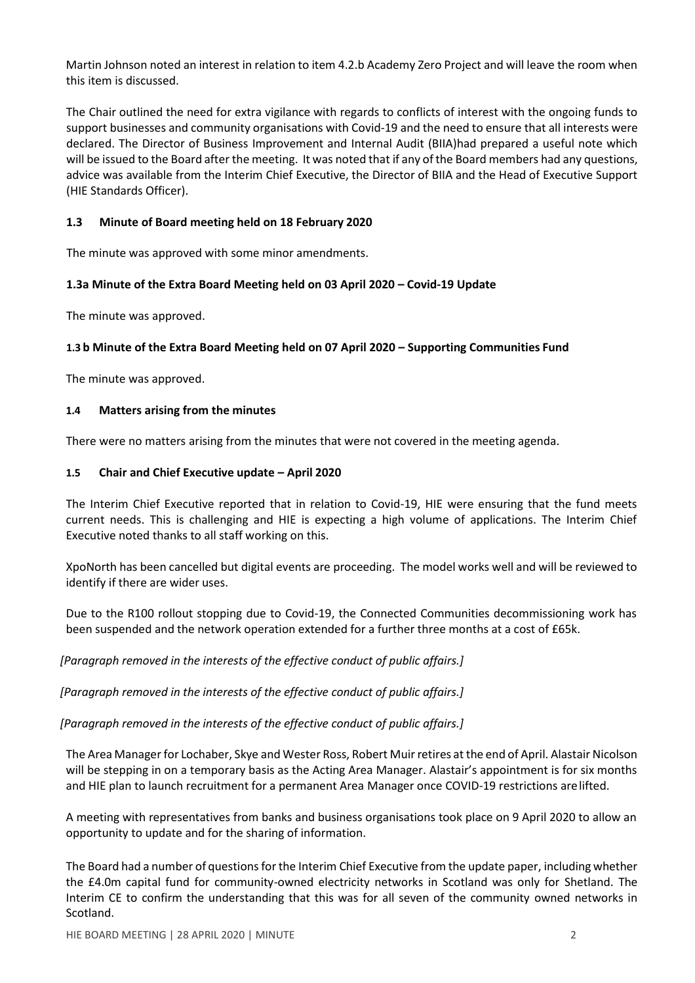Martin Johnson noted an interest in relation to item 4.2.b Academy Zero Project and will leave the room when this item is discussed.

The Chair outlined the need for extra vigilance with regards to conflicts of interest with the ongoing funds to support businesses and community organisations with Covid-19 and the need to ensure that all interests were declared. The Director of Business Improvement and Internal Audit (BIIA)had prepared a useful note which will be issued to the Board after the meeting. It was noted that if any of the Board members had any questions, advice was available from the Interim Chief Executive, the Director of BIIA and the Head of Executive Support (HIE Standards Officer).

## **1.3 Minute of Board meeting held on 18 February 2020**

The minute was approved with some minor amendments.

## **1.3a Minute of the Extra Board Meeting held on 03 April 2020 – Covid-19 Update**

The minute was approved.

## **1.3 b Minute of the Extra Board Meeting held on 07 April 2020 – Supporting Communities Fund**

The minute was approved.

### **1.4 Matters arising from the minutes**

There were no matters arising from the minutes that were not covered in the meeting agenda.

### **1.5 Chair and Chief Executive update – April 2020**

The Interim Chief Executive reported that in relation to Covid-19, HIE were ensuring that the fund meets current needs. This is challenging and HIE is expecting a high volume of applications. The Interim Chief Executive noted thanks to all staff working on this.

XpoNorth has been cancelled but digital events are proceeding. The model works well and will be reviewed to identify if there are wider uses.

Due to the R100 rollout stopping due to Covid-19, the Connected Communities decommissioning work has been suspended and the network operation extended for a further three months at a cost of £65k.

*[Paragraph removed in the interests of the effective conduct of public affairs.]*

*[Paragraph removed in the interests of the effective conduct of public affairs.]*

*[Paragraph removed in the interests of the effective conduct of public affairs.]*

The Area Manager for Lochaber, Skye and Wester Ross, Robert Muirretires at the end of April. Alastair Nicolson will be stepping in on a temporary basis as the Acting Area Manager. Alastair's appointment is for six months and HIE plan to launch recruitment for a permanent Area Manager once COVID-19 restrictions arelifted.

A meeting with representatives from banks and business organisations took place on 9 April 2020 to allow an opportunity to update and for the sharing of information.

The Board had a number of questions for the Interim Chief Executive from the update paper, including whether the £4.0m capital fund for community-owned electricity networks in Scotland was only for Shetland. The Interim CE to confirm the understanding that this was for all seven of the community owned networks in Scotland.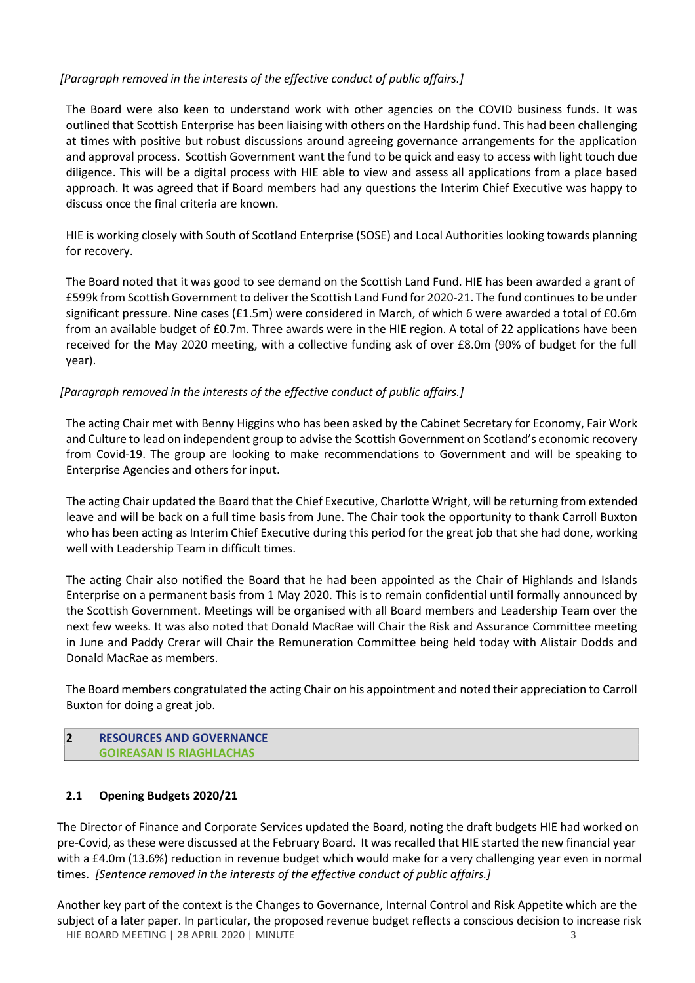# *[Paragraph removed in the interests of the effective conduct of public affairs.]*

The Board were also keen to understand work with other agencies on the COVID business funds. It was outlined that Scottish Enterprise has been liaising with others on the Hardship fund. This had been challenging at times with positive but robust discussions around agreeing governance arrangements for the application and approval process. Scottish Government want the fund to be quick and easy to access with light touch due diligence. This will be a digital process with HIE able to view and assess all applications from a place based approach. It was agreed that if Board members had any questions the Interim Chief Executive was happy to discuss once the final criteria are known.

HIE is working closely with South of Scotland Enterprise (SOSE) and Local Authorities looking towards planning for recovery.

The Board noted that it was good to see demand on the Scottish Land Fund. HIE has been awarded a grant of £599k from Scottish Government to deliverthe Scottish Land Fund for 2020-21. The fund continuesto be under significant pressure. Nine cases (£1.5m) were considered in March, of which 6 were awarded a total of £0.6m from an available budget of £0.7m. Three awards were in the HIE region. A total of 22 applications have been received for the May 2020 meeting, with a collective funding ask of over £8.0m (90% of budget for the full year).

# *[Paragraph removed in the interests of the effective conduct of public affairs.]*

The acting Chair met with Benny Higgins who has been asked by the Cabinet Secretary for Economy, Fair Work and Culture to lead on independent group to advise the Scottish Government on Scotland's economic recovery from Covid-19. The group are looking to make recommendations to Government and will be speaking to Enterprise Agencies and others for input.

The acting Chair updated the Board that the Chief Executive, Charlotte Wright, will be returning from extended leave and will be back on a full time basis from June. The Chair took the opportunity to thank Carroll Buxton who has been acting as Interim Chief Executive during this period for the great job that she had done, working well with Leadership Team in difficult times.

The acting Chair also notified the Board that he had been appointed as the Chair of Highlands and Islands Enterprise on a permanent basis from 1 May 2020. This is to remain confidential until formally announced by the Scottish Government. Meetings will be organised with all Board members and Leadership Team over the next few weeks. It was also noted that Donald MacRae will Chair the Risk and Assurance Committee meeting in June and Paddy Crerar will Chair the Remuneration Committee being held today with Alistair Dodds and Donald MacRae as members.

The Board members congratulated the acting Chair on his appointment and noted their appreciation to Carroll Buxton for doing a great job.

### **2 RESOURCES AND GOVERNANCE GOIREASAN IS RIAGHLACHAS**

# **2.1 Opening Budgets 2020/21**

The Director of Finance and Corporate Services updated the Board, noting the draft budgets HIE had worked on pre-Covid, asthese were discussed at the February Board. It was recalled that HIE started the new financial year with a £4.0m (13.6%) reduction in revenue budget which would make for a very challenging year even in normal times. *[Sentence removed in the interests of the effective conduct of public affairs.]*

HIE BOARD MEETING | 28 APRIL 2020 | MINUTE 3 3 APRIL 3 3 APRIL 3 3 APRIL 3 3 APRIL 3 3 APRIL 3 3 APRIL 3 3 APRIL 3 3 APRIL 3 3 APRIL 3 3 APRIL 3 APRIL 3 APRIL 3 APRIL 3 APRIL 3 APRIL 3 APRIL 3 APRIL 3 APRIL 3 APRIL 3 APRIL Another key part of the context is the Changes to Governance, Internal Control and Risk Appetite which are the subject of a later paper. In particular, the proposed revenue budget reflects a conscious decision to increase risk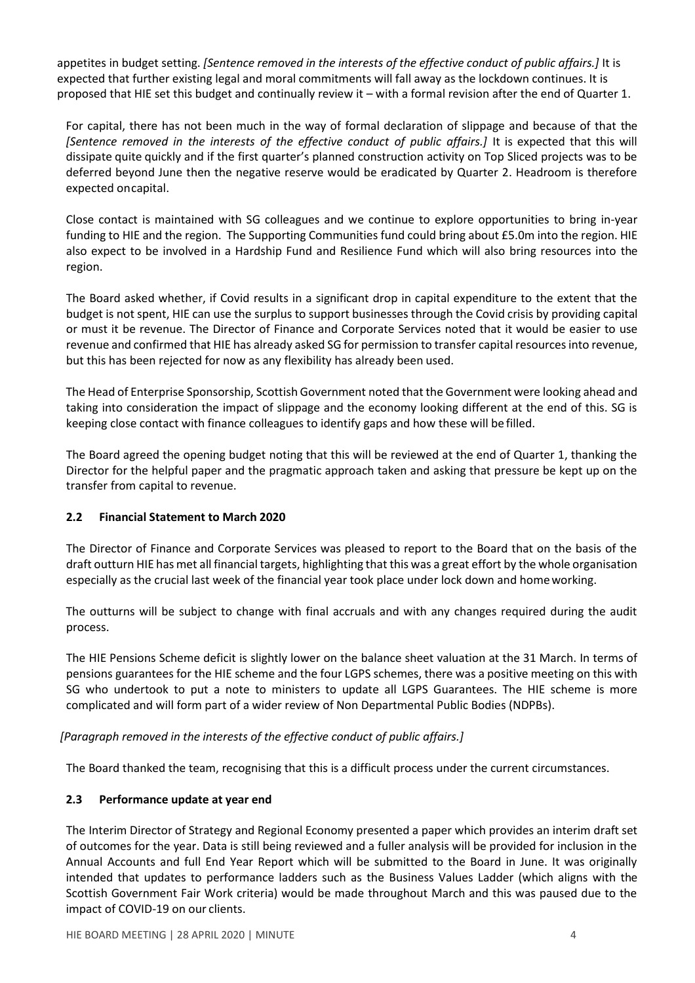appetites in budget setting. *[Sentence removed in the interests of the effective conduct of public affairs.]* It is expected that further existing legal and moral commitments will fall away as the lockdown continues. It is proposed that HIE set this budget and continually review it – with a formal revision after the end of Quarter 1.

For capital, there has not been much in the way of formal declaration of slippage and because of that the *[Sentence removed in the interests of the effective conduct of public affairs.]* It is expected that this will dissipate quite quickly and if the first quarter's planned construction activity on Top Sliced projects was to be deferred beyond June then the negative reserve would be eradicated by Quarter 2. Headroom is therefore expected oncapital.

Close contact is maintained with SG colleagues and we continue to explore opportunities to bring in-year funding to HIE and the region. The Supporting Communities fund could bring about £5.0m into the region. HIE also expect to be involved in a Hardship Fund and Resilience Fund which will also bring resources into the region.

The Board asked whether, if Covid results in a significant drop in capital expenditure to the extent that the budget is not spent, HIE can use the surplus to support businesses through the Covid crisis by providing capital or must it be revenue. The Director of Finance and Corporate Services noted that it would be easier to use revenue and confirmed that HIE has already asked SG for permission to transfer capital resourcesinto revenue, but this has been rejected for now as any flexibility has already been used.

The Head of Enterprise Sponsorship, Scottish Government noted that the Government were looking ahead and taking into consideration the impact of slippage and the economy looking different at the end of this. SG is keeping close contact with finance colleagues to identify gaps and how these will be filled.

The Board agreed the opening budget noting that this will be reviewed at the end of Quarter 1, thanking the Director for the helpful paper and the pragmatic approach taken and asking that pressure be kept up on the transfer from capital to revenue.

# **2.2 Financial Statement to March 2020**

The Director of Finance and Corporate Services was pleased to report to the Board that on the basis of the draft outturn HIE has met all financial targets, highlighting that this was a great effort by the whole organisation especially as the crucial last week of the financial year took place under lock down and homeworking.

The outturns will be subject to change with final accruals and with any changes required during the audit process.

The HIE Pensions Scheme deficit is slightly lower on the balance sheet valuation at the 31 March. In terms of pensions guarantees for the HIE scheme and the four LGPS schemes, there was a positive meeting on this with SG who undertook to put a note to ministers to update all LGPS Guarantees. The HIE scheme is more complicated and will form part of a wider review of Non Departmental Public Bodies (NDPBs).

# *[Paragraph removed in the interests of the effective conduct of public affairs.]*

The Board thanked the team, recognising that this is a difficult process under the current circumstances.

# **2.3 Performance update at year end**

The Interim Director of Strategy and Regional Economy presented a paper which provides an interim draft set of outcomes for the year. Data is still being reviewed and a fuller analysis will be provided for inclusion in the Annual Accounts and full End Year Report which will be submitted to the Board in June. It was originally intended that updates to performance ladders such as the Business Values Ladder (which aligns with the Scottish Government Fair Work criteria) would be made throughout March and this was paused due to the impact of COVID-19 on our clients.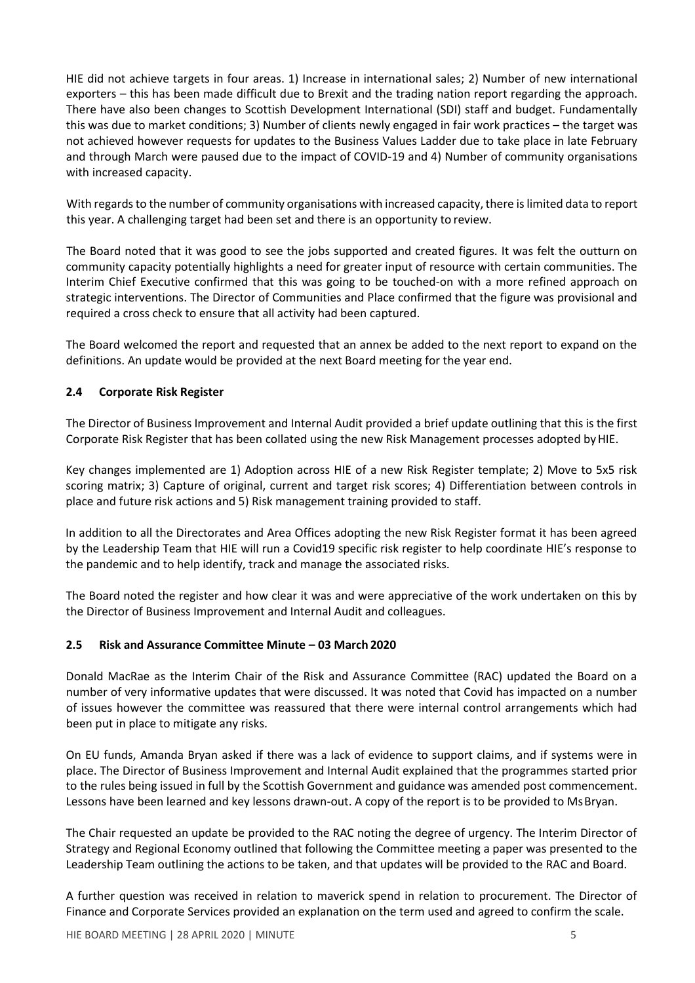HIE did not achieve targets in four areas. 1) Increase in international sales; 2) Number of new international exporters – this has been made difficult due to Brexit and the trading nation report regarding the approach. There have also been changes to Scottish Development International (SDI) staff and budget. Fundamentally this was due to market conditions; 3) Number of clients newly engaged in fair work practices – the target was not achieved however requests for updates to the Business Values Ladder due to take place in late February and through March were paused due to the impact of COVID-19 and 4) Number of community organisations with increased capacity.

With regards to the number of community organisations with increased capacity, there is limited data to report this year. A challenging target had been set and there is an opportunity to review.

The Board noted that it was good to see the jobs supported and created figures. It was felt the outturn on community capacity potentially highlights a need for greater input of resource with certain communities. The Interim Chief Executive confirmed that this was going to be touched-on with a more refined approach on strategic interventions. The Director of Communities and Place confirmed that the figure was provisional and required a cross check to ensure that all activity had been captured.

The Board welcomed the report and requested that an annex be added to the next report to expand on the definitions. An update would be provided at the next Board meeting for the year end.

# **2.4 Corporate Risk Register**

The Director of Business Improvement and Internal Audit provided a brief update outlining that this is the first Corporate Risk Register that has been collated using the new Risk Management processes adopted byHIE.

Key changes implemented are 1) Adoption across HIE of a new Risk Register template; 2) Move to 5x5 risk scoring matrix; 3) Capture of original, current and target risk scores; 4) Differentiation between controls in place and future risk actions and 5) Risk management training provided to staff.

In addition to all the Directorates and Area Offices adopting the new Risk Register format it has been agreed by the Leadership Team that HIE will run a Covid19 specific risk register to help coordinate HIE's response to the pandemic and to help identify, track and manage the associated risks.

The Board noted the register and how clear it was and were appreciative of the work undertaken on this by the Director of Business Improvement and Internal Audit and colleagues.

# **2.5 Risk and Assurance Committee Minute – 03 March 2020**

Donald MacRae as the Interim Chair of the Risk and Assurance Committee (RAC) updated the Board on a number of very informative updates that were discussed. It was noted that Covid has impacted on a number of issues however the committee was reassured that there were internal control arrangements which had been put in place to mitigate any risks.

On EU funds, Amanda Bryan asked if there was a lack of evidence to support claims, and if systems were in place. The Director of Business Improvement and Internal Audit explained that the programmes started prior to the rules being issued in full by the Scottish Government and guidance was amended post commencement. Lessons have been learned and key lessons drawn-out. A copy of the report is to be provided to MsBryan.

The Chair requested an update be provided to the RAC noting the degree of urgency. The Interim Director of Strategy and Regional Economy outlined that following the Committee meeting a paper was presented to the Leadership Team outlining the actions to be taken, and that updates will be provided to the RAC and Board.

A further question was received in relation to maverick spend in relation to procurement. The Director of Finance and Corporate Services provided an explanation on the term used and agreed to confirm the scale.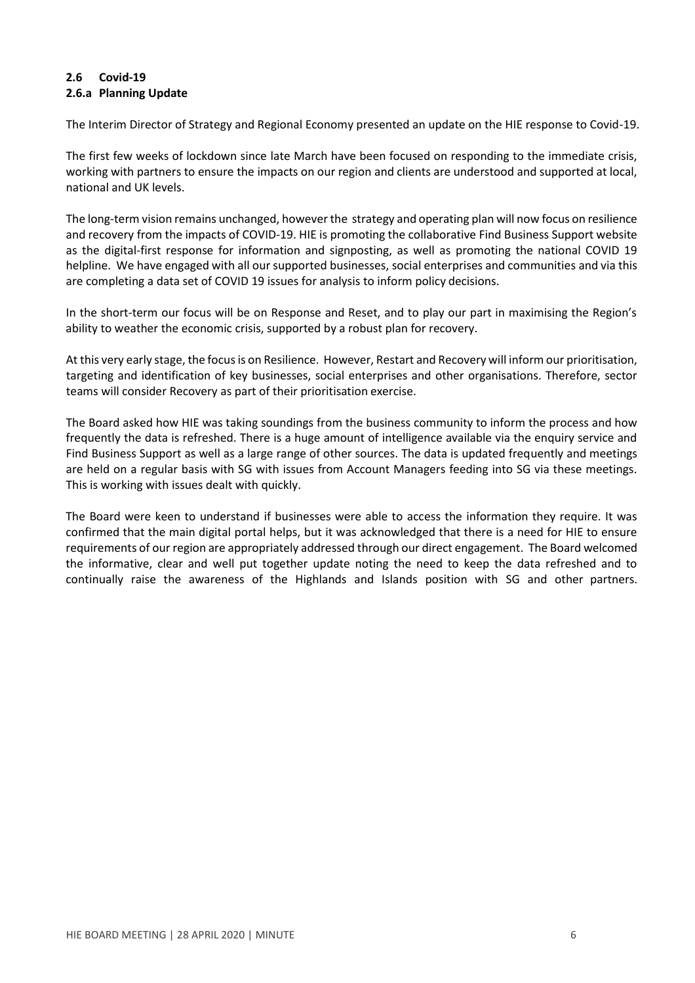# **2.6 Covid-19 2.6.a Planning Update**

The Interim Director of Strategy and Regional Economy presented an update on the HIE response to Covid-19.

The first few weeks of lockdown since late March have been focused on responding to the immediate crisis, working with partners to ensure the impacts on our region and clients are understood and supported at local, national and UK levels.

The long-term vision remains unchanged, however the strategy and operating plan will now focus on resilience and recovery from the impacts of COVID-19. HIE is promoting the collaborative Find Business Support website as the digital-first response for information and signposting, as well as promoting the national COVID 19 helpline. We have engaged with all our supported businesses, social enterprises and communities and via this are completing a data set of COVID 19 issues for analysis to inform policy decisions.

In the short-term our focus will be on Response and Reset, and to play our part in maximising the Region's ability to weather the economic crisis, supported by a robust plan for recovery.

At this very early stage, the focusis on Resilience. However, Restart and Recovery will inform our prioritisation, targeting and identification of key businesses, social enterprises and other organisations. Therefore, sector teams will consider Recovery as part of their prioritisation exercise.

The Board asked how HIE was taking soundings from the business community to inform the process and how frequently the data is refreshed. There is a huge amount of intelligence available via the enquiry service and Find Business Support as well as a large range of other sources. The data is updated frequently and meetings are held on a regular basis with SG with issues from Account Managers feeding into SG via these meetings. This is working with issues dealt with quickly.

The Board were keen to understand if businesses were able to access the information they require. It was confirmed that the main digital portal helps, but it was acknowledged that there is a need for HIE to ensure requirements of our region are appropriately addressed through our direct engagement. The Board welcomed the informative, clear and well put together update noting the need to keep the data refreshed and to continually raise the awareness of the Highlands and Islands position with SG and other partners.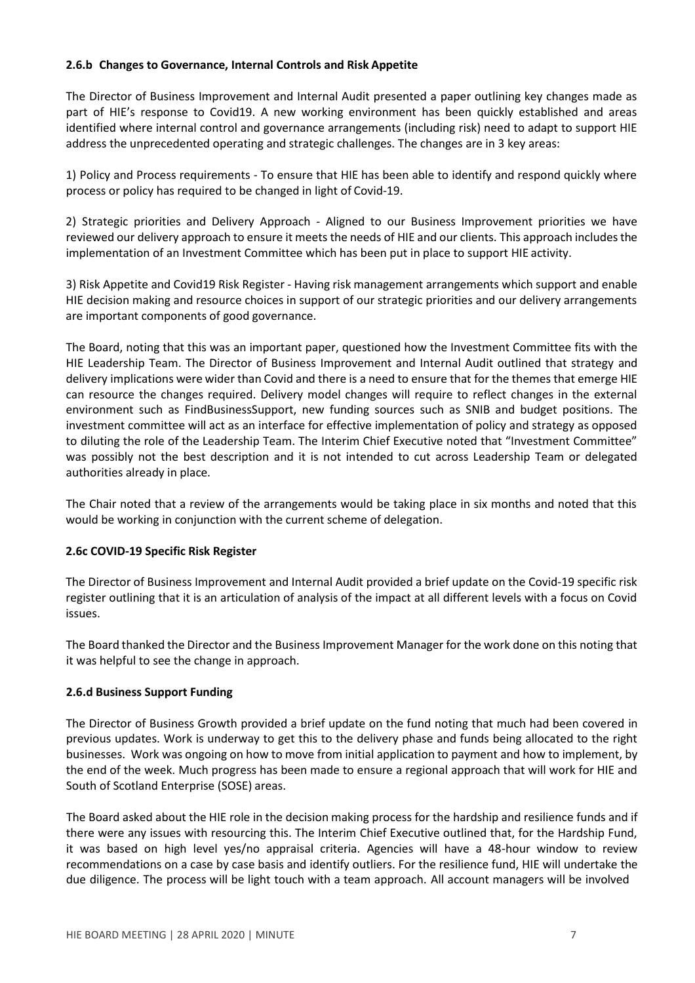### **2.6.b Changes to Governance, Internal Controls and Risk Appetite**

The Director of Business Improvement and Internal Audit presented a paper outlining key changes made as part of HIE's response to Covid19. A new working environment has been quickly established and areas identified where internal control and governance arrangements (including risk) need to adapt to support HIE address the unprecedented operating and strategic challenges. The changes are in 3 key areas:

1) Policy and Process requirements - To ensure that HIE has been able to identify and respond quickly where process or policy has required to be changed in light of Covid-19.

2) Strategic priorities and Delivery Approach - Aligned to our Business Improvement priorities we have reviewed our delivery approach to ensure it meets the needs of HIE and our clients. This approach includes the implementation of an Investment Committee which has been put in place to support HIE activity.

3) Risk Appetite and Covid19 Risk Register - Having risk management arrangements which support and enable HIE decision making and resource choices in support of our strategic priorities and our delivery arrangements are important components of good governance.

The Board, noting that this was an important paper, questioned how the Investment Committee fits with the HIE Leadership Team. The Director of Business Improvement and Internal Audit outlined that strategy and delivery implications were wider than Covid and there is a need to ensure that for the themes that emerge HIE can resource the changes required. Delivery model changes will require to reflect changes in the external environment such as FindBusinessSupport, new funding sources such as SNIB and budget positions. The investment committee will act as an interface for effective implementation of policy and strategy as opposed to diluting the role of the Leadership Team. The Interim Chief Executive noted that "Investment Committee" was possibly not the best description and it is not intended to cut across Leadership Team or delegated authorities already in place.

The Chair noted that a review of the arrangements would be taking place in six months and noted that this would be working in conjunction with the current scheme of delegation.

# **2.6c COVID-19 Specific Risk Register**

The Director of Business Improvement and Internal Audit provided a brief update on the Covid-19 specific risk register outlining that it is an articulation of analysis of the impact at all different levels with a focus on Covid issues.

The Board thanked the Director and the Business Improvement Manager for the work done on this noting that it was helpful to see the change in approach.

### **2.6.d Business Support Funding**

The Director of Business Growth provided a brief update on the fund noting that much had been covered in previous updates. Work is underway to get this to the delivery phase and funds being allocated to the right businesses. Work was ongoing on how to move from initial application to payment and how to implement, by the end of the week. Much progress has been made to ensure a regional approach that will work for HIE and South of Scotland Enterprise (SOSE) areas.

The Board asked about the HIE role in the decision making process for the hardship and resilience funds and if there were any issues with resourcing this. The Interim Chief Executive outlined that, for the Hardship Fund, it was based on high level yes/no appraisal criteria. Agencies will have a 48-hour window to review recommendations on a case by case basis and identify outliers. For the resilience fund, HIE will undertake the due diligence. The process will be light touch with a team approach. All account managers will be involved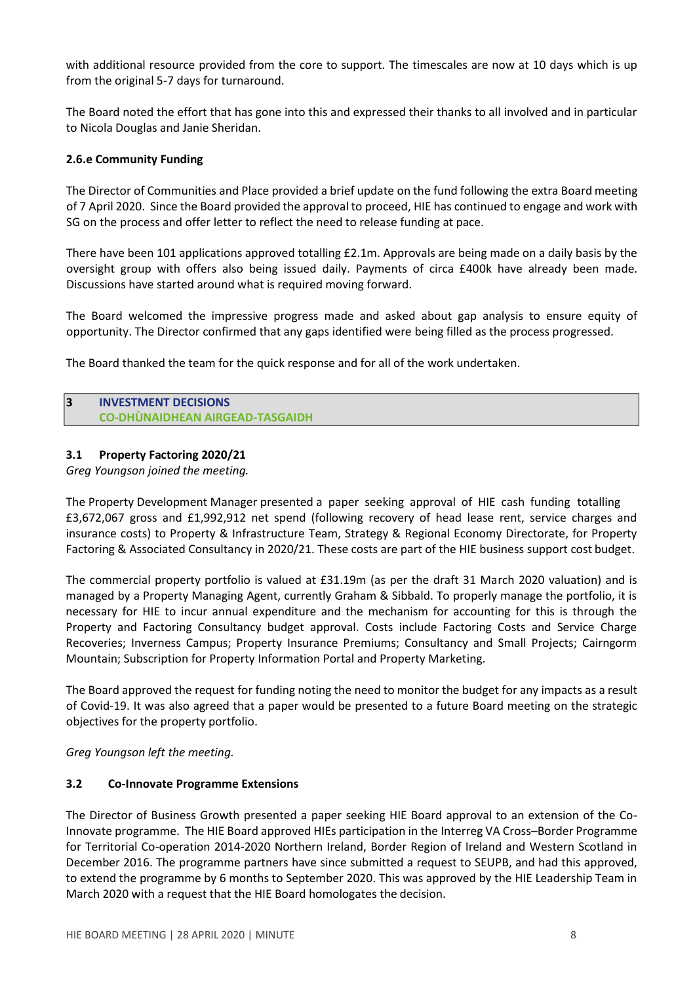with additional resource provided from the core to support. The timescales are now at 10 days which is up from the original 5-7 days for turnaround.

The Board noted the effort that has gone into this and expressed their thanks to all involved and in particular to Nicola Douglas and Janie Sheridan.

### **2.6.e Community Funding**

The Director of Communities and Place provided a brief update on the fund following the extra Board meeting of 7 April 2020. Since the Board provided the approval to proceed, HIE has continued to engage and work with SG on the process and offer letter to reflect the need to release funding at pace.

There have been 101 applications approved totalling £2.1m. Approvals are being made on a daily basis by the oversight group with offers also being issued daily. Payments of circa £400k have already been made. Discussions have started around what is required moving forward.

The Board welcomed the impressive progress made and asked about gap analysis to ensure equity of opportunity. The Director confirmed that any gaps identified were being filled as the process progressed.

The Board thanked the team for the quick response and for all of the work undertaken.

#### **3 INVESTMENT DECISIONS CO-DHÙNAIDHEAN AIRGEAD-TASGAIDH**

## **3.1 Property Factoring 2020/21**

*Greg Youngson joined the meeting.*

The Property Development Manager presented a paper seeking approval of HIE cash funding totalling £3,672,067 gross and £1,992,912 net spend (following recovery of head lease rent, service charges and insurance costs) to Property & Infrastructure Team, Strategy & Regional Economy Directorate, for Property Factoring & Associated Consultancy in 2020/21. These costs are part of the HIE business support cost budget.

The commercial property portfolio is valued at £31.19m (as per the draft 31 March 2020 valuation) and is managed by a Property Managing Agent, currently Graham & Sibbald. To properly manage the portfolio, it is necessary for HIE to incur annual expenditure and the mechanism for accounting for this is through the Property and Factoring Consultancy budget approval. Costs include Factoring Costs and Service Charge Recoveries; Inverness Campus; Property Insurance Premiums; Consultancy and Small Projects; Cairngorm Mountain; Subscription for Property Information Portal and Property Marketing.

The Board approved the request for funding noting the need to monitor the budget for any impacts as a result of Covid-19. It was also agreed that a paper would be presented to a future Board meeting on the strategic objectives for the property portfolio.

*Greg Youngson left the meeting.*

### **3.2 Co-Innovate Programme Extensions**

The Director of Business Growth presented a paper seeking HIE Board approval to an extension of the Co-Innovate programme. The HIE Board approved HIEs participation in the Interreg VA Cross–Border Programme for Territorial Co-operation 2014-2020 Northern Ireland, Border Region of Ireland and Western Scotland in December 2016. The programme partners have since submitted a request to SEUPB, and had this approved, to extend the programme by 6 months to September 2020. This was approved by the HIE Leadership Team in March 2020 with a request that the HIE Board homologates the decision.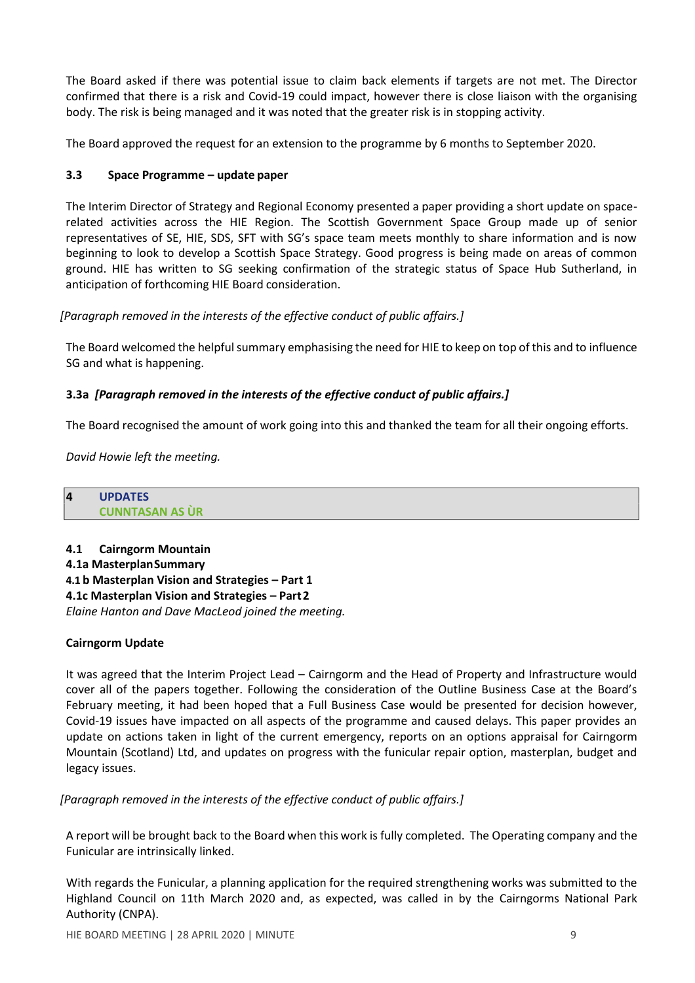The Board asked if there was potential issue to claim back elements if targets are not met. The Director confirmed that there is a risk and Covid-19 could impact, however there is close liaison with the organising body. The risk is being managed and it was noted that the greater risk is in stopping activity.

The Board approved the request for an extension to the programme by 6 months to September 2020.

## **3.3 Space Programme – update paper**

The Interim Director of Strategy and Regional Economy presented a paper providing a short update on spacerelated activities across the HIE Region. The Scottish Government Space Group made up of senior representatives of SE, HIE, SDS, SFT with SG's space team meets monthly to share information and is now beginning to look to develop a Scottish Space Strategy. Good progress is being made on areas of common ground. HIE has written to SG seeking confirmation of the strategic status of Space Hub Sutherland, in anticipation of forthcoming HIE Board consideration.

## *[Paragraph removed in the interests of the effective conduct of public affairs.]*

The Board welcomed the helpful summary emphasising the need for HIE to keep on top of this and to influence SG and what is happening.

# **3.3a** *[Paragraph removed in the interests of the effective conduct of public affairs.]*

The Board recognised the amount of work going into this and thanked the team for all their ongoing efforts.

*David Howie left the meeting.*

**4 UPDATES CUNNTASAN AS ÙR**

**4.1 Cairngorm Mountain 4.1a MasterplanSummary 4.1 b Masterplan Vision and Strategies – Part 1 4.1c Masterplan Vision and Strategies – Part2** *Elaine Hanton and Dave MacLeod joined the meeting.*

### **Cairngorm Update**

It was agreed that the Interim Project Lead – Cairngorm and the Head of Property and Infrastructure would cover all of the papers together. Following the consideration of the Outline Business Case at the Board's February meeting, it had been hoped that a Full Business Case would be presented for decision however, Covid-19 issues have impacted on all aspects of the programme and caused delays. This paper provides an update on actions taken in light of the current emergency, reports on an options appraisal for Cairngorm Mountain (Scotland) Ltd, and updates on progress with the funicular repair option, masterplan, budget and legacy issues.

# *[Paragraph removed in the interests of the effective conduct of public affairs.]*

A report will be brought back to the Board when this work is fully completed. The Operating company and the Funicular are intrinsically linked.

With regards the Funicular, a planning application for the required strengthening works was submitted to the Highland Council on 11th March 2020 and, as expected, was called in by the Cairngorms National Park Authority (CNPA).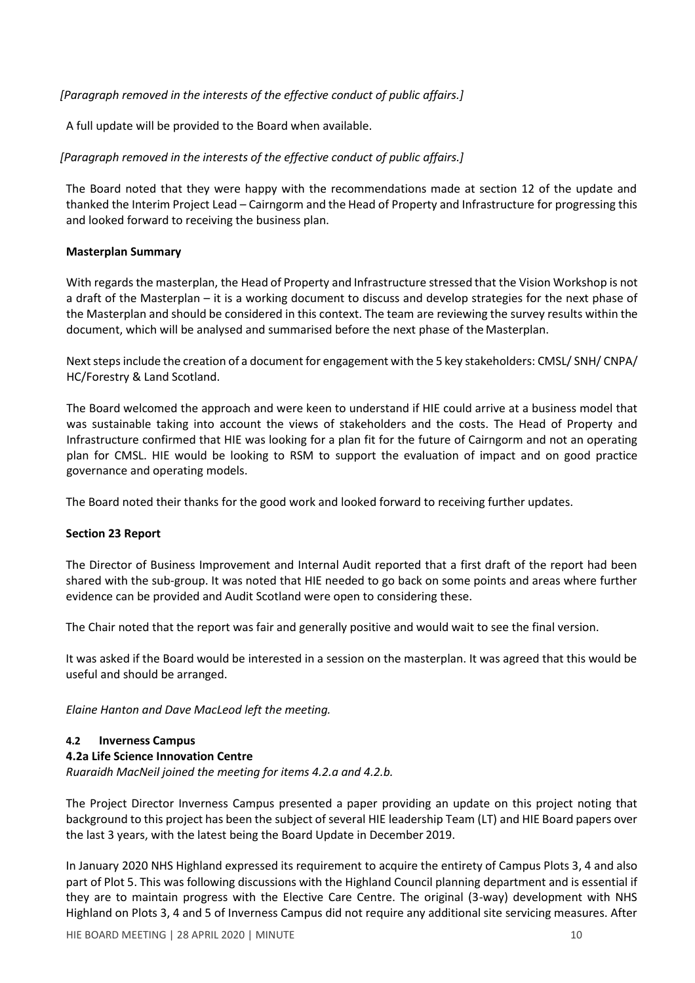*[Paragraph removed in the interests of the effective conduct of public affairs.]*

A full update will be provided to the Board when available.

## *[Paragraph removed in the interests of the effective conduct of public affairs.]*

The Board noted that they were happy with the recommendations made at section 12 of the update and thanked the Interim Project Lead – Cairngorm and the Head of Property and Infrastructure for progressing this and looked forward to receiving the business plan.

### **Masterplan Summary**

With regards the masterplan, the Head of Property and Infrastructure stressed that the Vision Workshop is not a draft of the Masterplan – it is a working document to discuss and develop strategies for the next phase of the Masterplan and should be considered in this context. The team are reviewing the survey results within the document, which will be analysed and summarised before the next phase of the Masterplan.

Next steps include the creation of a document for engagement with the 5 key stakeholders: CMSL/ SNH/ CNPA/ HC/Forestry & Land Scotland.

The Board welcomed the approach and were keen to understand if HIE could arrive at a business model that was sustainable taking into account the views of stakeholders and the costs. The Head of Property and Infrastructure confirmed that HIE was looking for a plan fit for the future of Cairngorm and not an operating plan for CMSL. HIE would be looking to RSM to support the evaluation of impact and on good practice governance and operating models.

The Board noted their thanks for the good work and looked forward to receiving further updates.

### **Section 23 Report**

The Director of Business Improvement and Internal Audit reported that a first draft of the report had been shared with the sub-group. It was noted that HIE needed to go back on some points and areas where further evidence can be provided and Audit Scotland were open to considering these.

The Chair noted that the report was fair and generally positive and would wait to see the final version.

It was asked if the Board would be interested in a session on the masterplan. It was agreed that this would be useful and should be arranged.

*Elaine Hanton and Dave MacLeod left the meeting.*

### **4.2 Inverness Campus**

**4.2a Life Science Innovation Centre**

*Ruaraidh MacNeil joined the meeting for items 4.2.a and 4.2.b.*

The Project Director Inverness Campus presented a paper providing an update on this project noting that background to this project has been the subject of several HIE leadership Team (LT) and HIE Board papers over the last 3 years, with the latest being the Board Update in December 2019.

In January 2020 NHS Highland expressed its requirement to acquire the entirety of Campus Plots 3, 4 and also part of Plot 5. This was following discussions with the Highland Council planning department and is essential if they are to maintain progress with the Elective Care Centre. The original (3-way) development with NHS Highland on Plots 3, 4 and 5 of Inverness Campus did not require any additional site servicing measures. After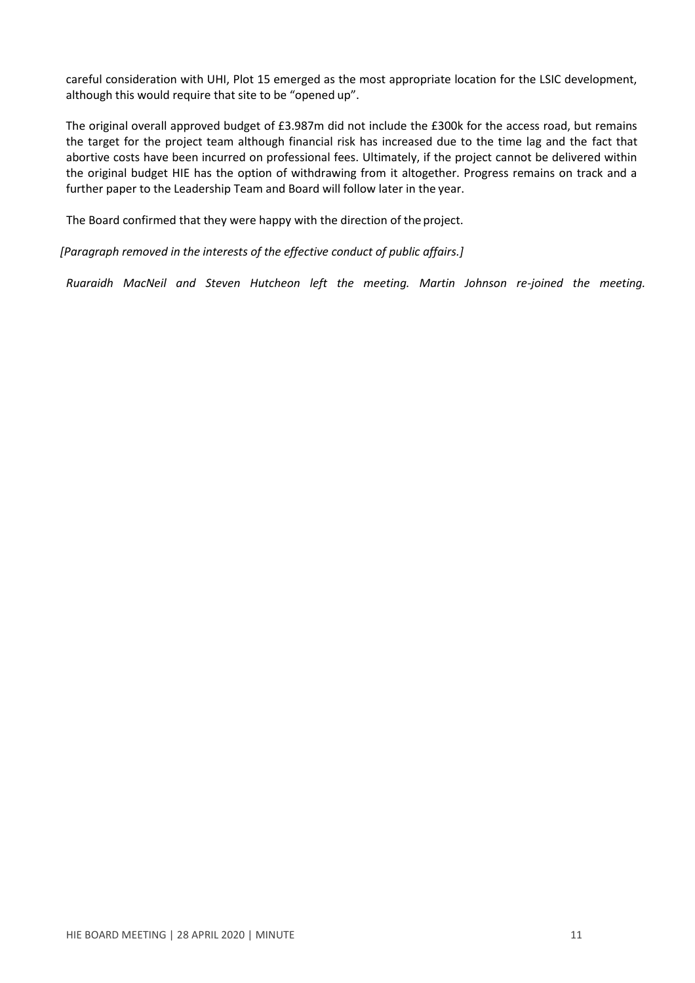careful consideration with UHI, Plot 15 emerged as the most appropriate location for the LSIC development, although this would require that site to be "opened up".

The original overall approved budget of £3.987m did not include the £300k for the access road, but remains the target for the project team although financial risk has increased due to the time lag and the fact that abortive costs have been incurred on professional fees. Ultimately, if the project cannot be delivered within the original budget HIE has the option of withdrawing from it altogether. Progress remains on track and a further paper to the Leadership Team and Board will follow later in the year.

The Board confirmed that they were happy with the direction of the project.

*[Paragraph removed in the interests of the effective conduct of public affairs.]*

*Ruaraidh MacNeil and Steven Hutcheon left the meeting. Martin Johnson re-joined the meeting.*